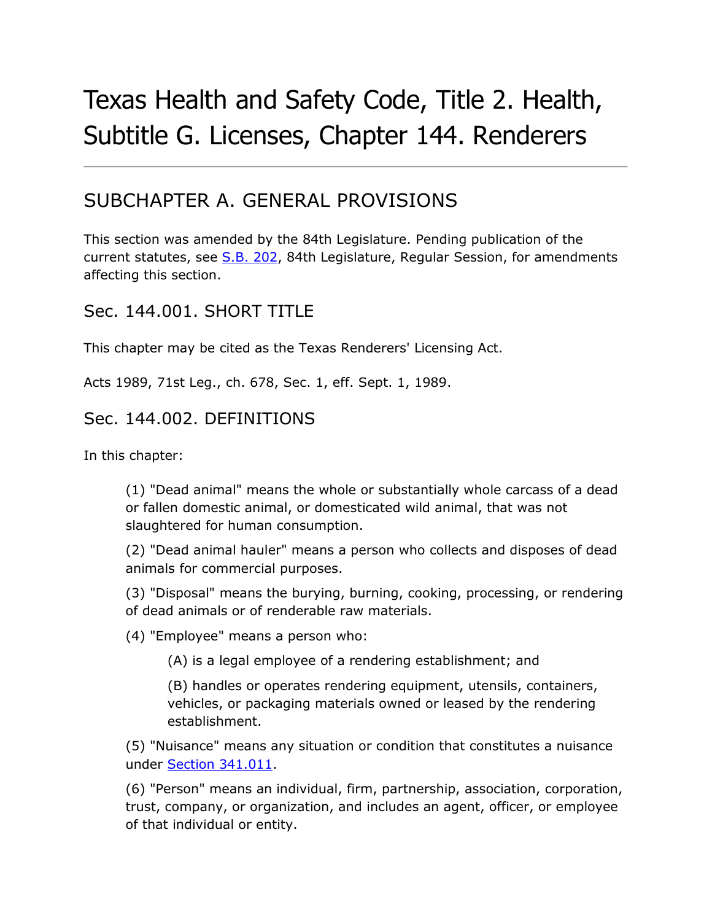# Texas Health and Safety Code, Title 2. Health, Subtitle G. Licenses, Chapter 144. Renderers

# SUBCHAPTER A. GENERAL PROVISIONS

This section was amended by the 84th Legislature. Pending publication of the current statutes, see [S.B.](http://www.legis.state.tx.us/tlodocs/84R/billtext/html/SB00202F.HTM) 202, 84th Legislature, Regular Session, for amendments affecting this section.

#### Sec. 144.001. SHORT TITLE

This chapter may be cited as the Texas Renderers' Licensing Act.

Acts 1989, 71st Leg., ch. 678, Sec. 1, eff. Sept. 1, 1989.

#### Sec. 144.002. DEFINITIONS

In this chapter:

(1) "Dead animal" means the whole or substantially whole carcass of a dead or fallen domestic animal, or domesticated wild animal, that was not slaughtered for human consumption.

(2) "Dead animal hauler" means a person who collects and disposes of dead animals for commercial purposes.

(3) "Disposal" means the burying, burning, cooking, processing, or rendering of dead animals or of renderable raw materials.

(4) "Employee" means a person who:

(A) is a legal employee of a rendering establishment; and

(B) handles or operates rendering equipment, utensils, containers, vehicles, or packaging materials owned or leased by the rendering establishment.

(5) "Nuisance" means any situation or condition that constitutes a nuisance under [Section 341.011.](http://www.statutes.legis.state.tx.us/GetStatute.aspx?Code=HS&Value=341.011&Date=7/18/2015)

(6) "Person" means an individual, firm, partnership, association, corporation, trust, company, or organization, and includes an agent, officer, or employee of that individual or entity.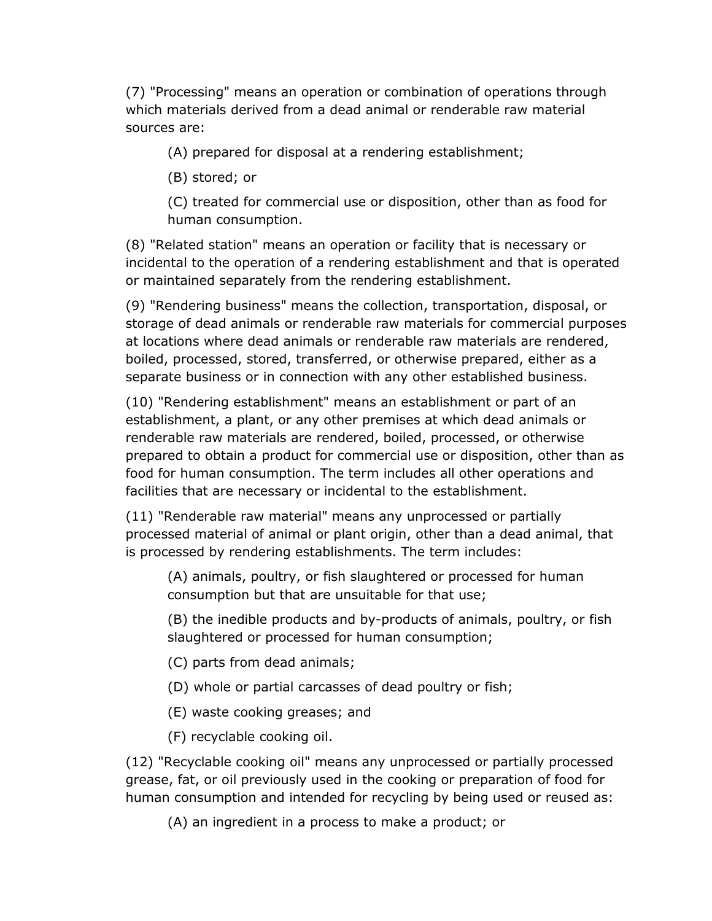(7) "Processing" means an operation or combination of operations through which materials derived from a dead animal or renderable raw material sources are:

(A) prepared for disposal at a rendering establishment;

(B) stored; or

(C) treated for commercial use or disposition, other than as food for human consumption.

(8) "Related station" means an operation or facility that is necessary or incidental to the operation of a rendering establishment and that is operated or maintained separately from the rendering establishment.

(9) "Rendering business" means the collection, transportation, disposal, or storage of dead animals or renderable raw materials for commercial purposes at locations where dead animals or renderable raw materials are rendered, boiled, processed, stored, transferred, or otherwise prepared, either as a separate business or in connection with any other established business.

(10) "Rendering establishment" means an establishment or part of an establishment, a plant, or any other premises at which dead animals or renderable raw materials are rendered, boiled, processed, or otherwise prepared to obtain a product for commercial use or disposition, other than as food for human consumption. The term includes all other operations and facilities that are necessary or incidental to the establishment.

(11) "Renderable raw material" means any unprocessed or partially processed material of animal or plant origin, other than a dead animal, that is processed by rendering establishments. The term includes:

(A) animals, poultry, or fish slaughtered or processed for human consumption but that are unsuitable for that use;

(B) the inedible products and by-products of animals, poultry, or fish slaughtered or processed for human consumption;

- (C) parts from dead animals;
- (D) whole or partial carcasses of dead poultry or fish;
- (E) waste cooking greases; and
- (F) recyclable cooking oil.

(12) "Recyclable cooking oil" means any unprocessed or partially processed grease, fat, or oil previously used in the cooking or preparation of food for human consumption and intended for recycling by being used or reused as:

(A) an ingredient in a process to make a product; or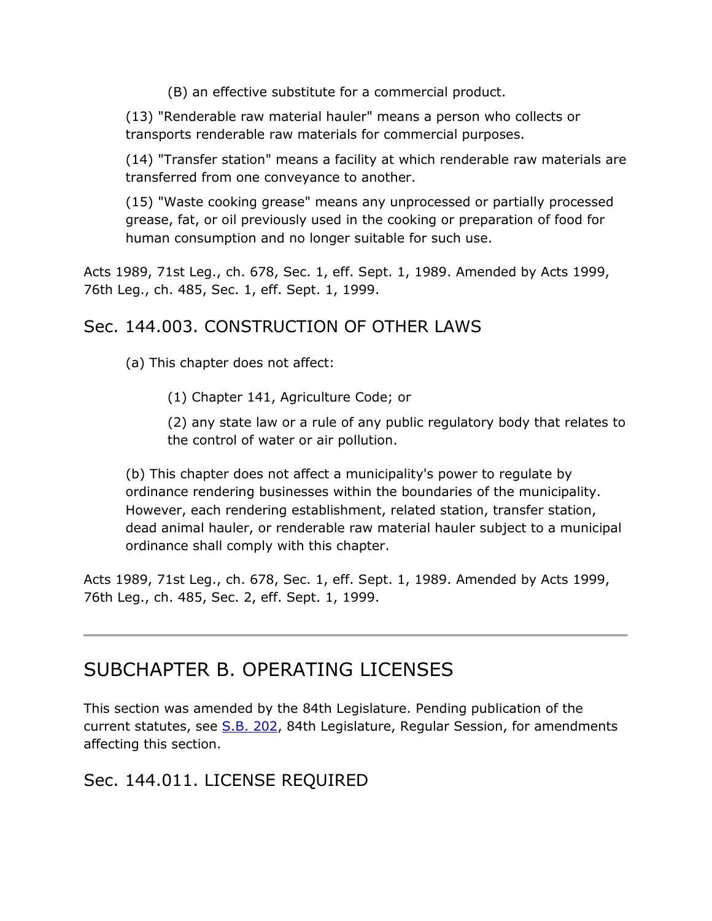(B) an effective substitute for a commercial product.

(13) "Renderable raw material hauler" means a person who collects or transports renderable raw materials for commercial purposes.

(14) "Transfer station" means a facility at which renderable raw materials are transferred from one conveyance to another.

(15) "Waste cooking grease" means any unprocessed or partially processed grease, fat, or oil previously used in the cooking or preparation of food for human consumption and no longer suitable for such use.

Acts 1989, 71st Leg., ch. 678, Sec. 1, eff. Sept. 1, 1989. Amended by Acts 1999, 76th Leg., ch. 485, Sec. 1, eff. Sept. 1, 1999.

# Sec. 144.003. CONSTRUCTION OF OTHER LAWS

(a) This chapter does not affect:

(1) Chapter 141, Agriculture Code; or

(2) any state law or a rule of any public regulatory body that relates to the control of water or air pollution.

(b) This chapter does not affect a municipality's power to regulate by ordinance rendering businesses within the boundaries of the municipality. However, each rendering establishment, related station, transfer station, dead animal hauler, or renderable raw material hauler subject to a municipal ordinance shall comply with this chapter.

Acts 1989, 71st Leg., ch. 678, Sec. 1, eff. Sept. 1, 1989. Amended by Acts 1999, 76th Leg., ch. 485, Sec. 2, eff. Sept. 1, 1999.

# SUBCHAPTER B. OPERATING LICENSES

This section was amended by the 84th Legislature. Pending publication of the current statutes, see [S.B. 202,](http://www.legis.state.tx.us/tlodocs/84R/billtext/html/SB00202F.HTM) 84th Legislature, Regular Session, for amendments affecting this section.

# Sec. 144.011. LICENSE REQUIRED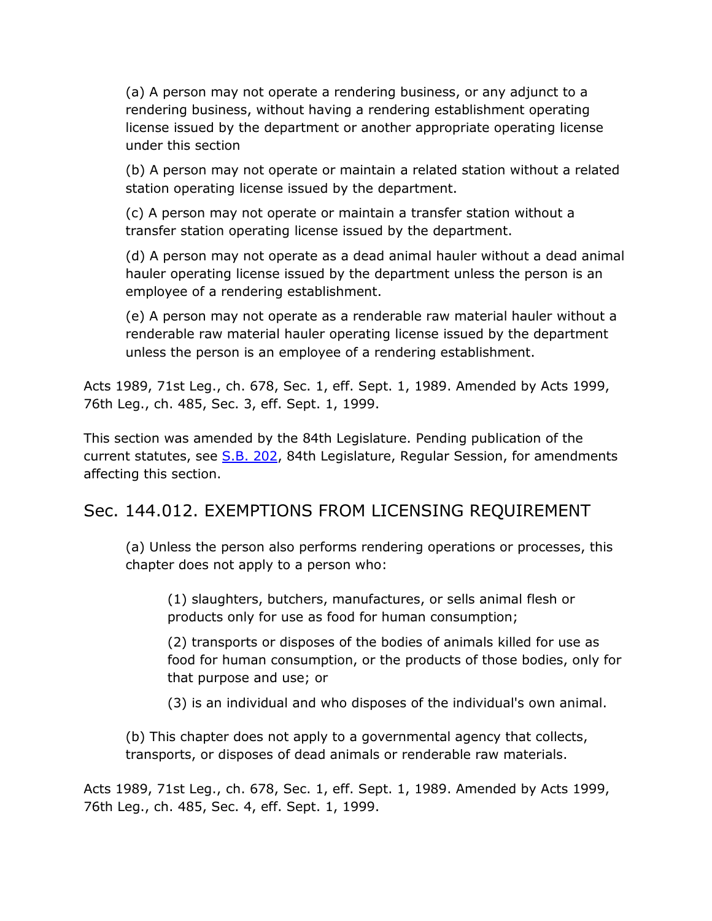(a) A person may not operate a rendering business, or any adjunct to a rendering business, without having a rendering establishment operating license issued by the department or another appropriate operating license under this section

(b) A person may not operate or maintain a related station without a related station operating license issued by the department.

(c) A person may not operate or maintain a transfer station without a transfer station operating license issued by the department.

(d) A person may not operate as a dead animal hauler without a dead animal hauler operating license issued by the department unless the person is an employee of a rendering establishment.

(e) A person may not operate as a renderable raw material hauler without a renderable raw material hauler operating license issued by the department unless the person is an employee of a rendering establishment.

Acts 1989, 71st Leg., ch. 678, Sec. 1, eff. Sept. 1, 1989. Amended by Acts 1999, 76th Leg., ch. 485, Sec. 3, eff. Sept. 1, 1999.

This section was amended by the 84th Legislature. Pending publication of the current statutes, see [S.B. 202,](http://www.legis.state.tx.us/tlodocs/84R/billtext/html/SB00202F.HTM) 84th Legislature, Regular Session, for amendments affecting this section.

#### Sec. 144.012. EXEMPTIONS FROM LICENSING REQUIREMENT

(a) Unless the person also performs rendering operations or processes, this chapter does not apply to a person who:

(1) slaughters, butchers, manufactures, or sells animal flesh or products only for use as food for human consumption;

(2) transports or disposes of the bodies of animals killed for use as food for human consumption, or the products of those bodies, only for that purpose and use; or

(3) is an individual and who disposes of the individual's own animal.

(b) This chapter does not apply to a governmental agency that collects, transports, or disposes of dead animals or renderable raw materials.

Acts 1989, 71st Leg., ch. 678, Sec. 1, eff. Sept. 1, 1989. Amended by Acts 1999, 76th Leg., ch. 485, Sec. 4, eff. Sept. 1, 1999.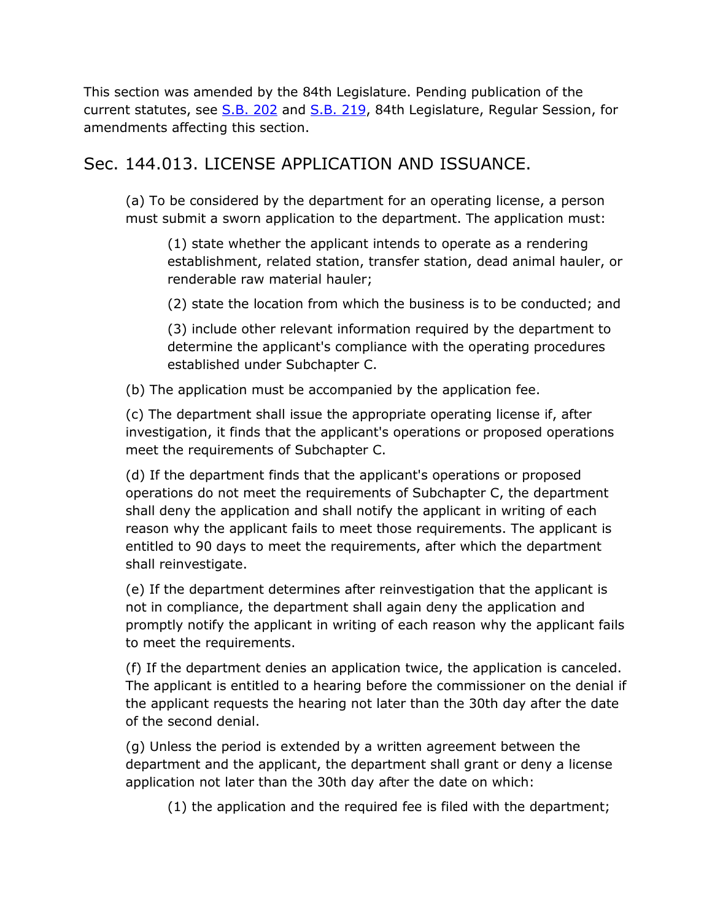This section was amended by the 84th Legislature. Pending publication of the current statutes, see [S.B. 202](http://www.legis.state.tx.us/tlodocs/84R/billtext/html/SB00202F.HTM) and [S.B. 219,](http://www.legis.state.tx.us/tlodocs/84R/billtext/html/SB00219F.HTM) 84th Legislature, Regular Session, for amendments affecting this section.

# Sec. 144.013. LICENSE APPLICATION AND ISSUANCE.

(a) To be considered by the department for an operating license, a person must submit a sworn application to the department. The application must:

(1) state whether the applicant intends to operate as a rendering establishment, related station, transfer station, dead animal hauler, or renderable raw material hauler;

(2) state the location from which the business is to be conducted; and

(3) include other relevant information required by the department to determine the applicant's compliance with the operating procedures established under Subchapter C.

(b) The application must be accompanied by the application fee.

(c) The department shall issue the appropriate operating license if, after investigation, it finds that the applicant's operations or proposed operations meet the requirements of Subchapter C.

(d) If the department finds that the applicant's operations or proposed operations do not meet the requirements of Subchapter C, the department shall deny the application and shall notify the applicant in writing of each reason why the applicant fails to meet those requirements. The applicant is entitled to 90 days to meet the requirements, after which the department shall reinvestigate.

(e) If the department determines after reinvestigation that the applicant is not in compliance, the department shall again deny the application and promptly notify the applicant in writing of each reason why the applicant fails to meet the requirements.

(f) If the department denies an application twice, the application is canceled. The applicant is entitled to a hearing before the commissioner on the denial if the applicant requests the hearing not later than the 30th day after the date of the second denial.

(g) Unless the period is extended by a written agreement between the department and the applicant, the department shall grant or deny a license application not later than the 30th day after the date on which:

(1) the application and the required fee is filed with the department;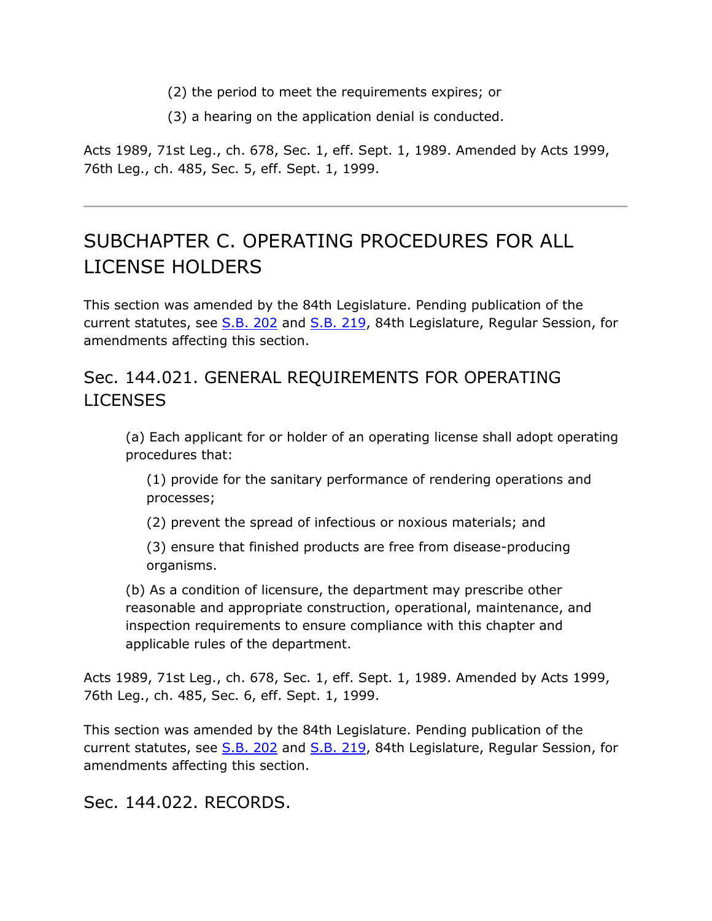- (2) the period to meet the requirements expires; or
- (3) a hearing on the application denial is conducted.

Acts 1989, 71st Leg., ch. 678, Sec. 1, eff. Sept. 1, 1989. Amended by Acts 1999, 76th Leg., ch. 485, Sec. 5, eff. Sept. 1, 1999.

# SUBCHAPTER C. OPERATING PROCEDURES FOR ALL LICENSE HOLDERS

This section was amended by the 84th Legislature. Pending publication of the current statutes, see [S.B. 202](http://www.legis.state.tx.us/tlodocs/84R/billtext/html/SB00202F.HTM) and [S.B. 219,](http://www.legis.state.tx.us/tlodocs/84R/billtext/html/SB00219F.HTM) 84th Legislature, Regular Session, for amendments affecting this section.

# Sec. 144.021. GENERAL REQUIREMENTS FOR OPERATING LICENSES

(a) Each applicant for or holder of an operating license shall adopt operating procedures that:

(1) provide for the sanitary performance of rendering operations and processes;

(2) prevent the spread of infectious or noxious materials; and

(3) ensure that finished products are free from disease-producing organisms.

(b) As a condition of licensure, the department may prescribe other reasonable and appropriate construction, operational, maintenance, and inspection requirements to ensure compliance with this chapter and applicable rules of the department.

Acts 1989, 71st Leg., ch. 678, Sec. 1, eff. Sept. 1, 1989. Amended by Acts 1999, 76th Leg., ch. 485, Sec. 6, eff. Sept. 1, 1999.

This section was amended by the 84th Legislature. Pending publication of the current statutes, see [S.B. 202](http://www.legis.state.tx.us/tlodocs/84R/billtext/html/SB00202F.HTM) and [S.B. 219,](http://www.legis.state.tx.us/tlodocs/84R/billtext/html/SB00219F.HTM) 84th Legislature, Regular Session, for amendments affecting this section.

Sec. 144.022. RECORDS.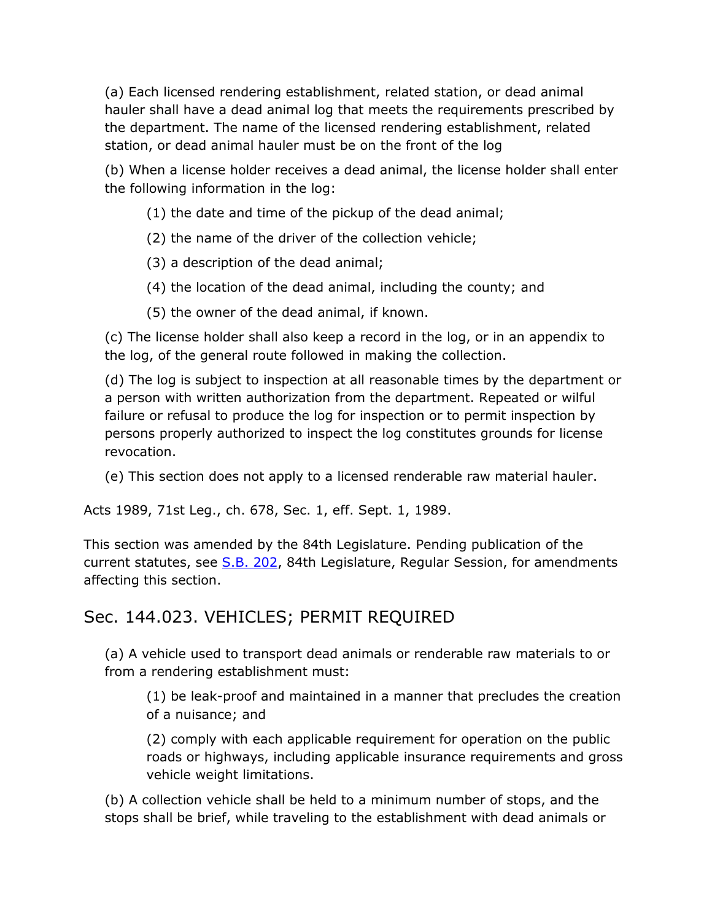(a) Each licensed rendering establishment, related station, or dead animal hauler shall have a dead animal log that meets the requirements prescribed by the department. The name of the licensed rendering establishment, related station, or dead animal hauler must be on the front of the log

(b) When a license holder receives a dead animal, the license holder shall enter the following information in the log:

- (1) the date and time of the pickup of the dead animal;
- (2) the name of the driver of the collection vehicle;
- (3) a description of the dead animal;
- (4) the location of the dead animal, including the county; and
- (5) the owner of the dead animal, if known.

(c) The license holder shall also keep a record in the log, or in an appendix to the log, of the general route followed in making the collection.

(d) The log is subject to inspection at all reasonable times by the department or a person with written authorization from the department. Repeated or wilful failure or refusal to produce the log for inspection or to permit inspection by persons properly authorized to inspect the log constitutes grounds for license revocation.

(e) This section does not apply to a licensed renderable raw material hauler.

Acts 1989, 71st Leg., ch. 678, Sec. 1, eff. Sept. 1, 1989.

This section was amended by the 84th Legislature. Pending publication of the current statutes, see [S.B. 202,](http://www.legis.state.tx.us/tlodocs/84R/billtext/html/SB00202F.HTM) 84th Legislature, Regular Session, for amendments affecting this section.

# Sec. 144.023. VEHICLES; PERMIT REQUIRED

(a) A vehicle used to transport dead animals or renderable raw materials to or from a rendering establishment must:

(1) be leak-proof and maintained in a manner that precludes the creation of a nuisance; and

(2) comply with each applicable requirement for operation on the public roads or highways, including applicable insurance requirements and gross vehicle weight limitations.

(b) A collection vehicle shall be held to a minimum number of stops, and the stops shall be brief, while traveling to the establishment with dead animals or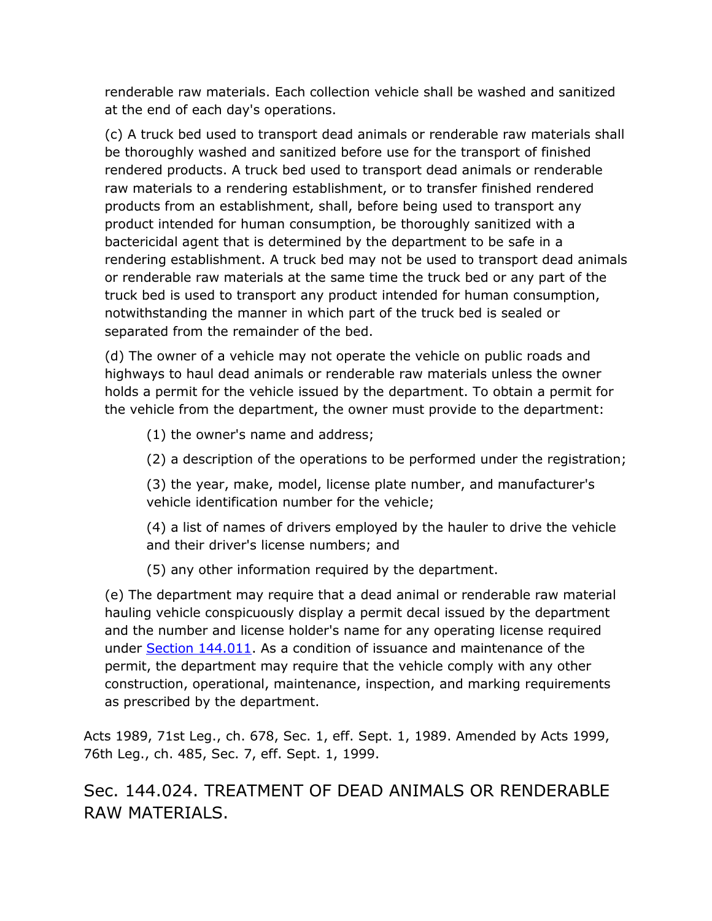renderable raw materials. Each collection vehicle shall be washed and sanitized at the end of each day's operations.

(c) A truck bed used to transport dead animals or renderable raw materials shall be thoroughly washed and sanitized before use for the transport of finished rendered products. A truck bed used to transport dead animals or renderable raw materials to a rendering establishment, or to transfer finished rendered products from an establishment, shall, before being used to transport any product intended for human consumption, be thoroughly sanitized with a bactericidal agent that is determined by the department to be safe in a rendering establishment. A truck bed may not be used to transport dead animals or renderable raw materials at the same time the truck bed or any part of the truck bed is used to transport any product intended for human consumption, notwithstanding the manner in which part of the truck bed is sealed or separated from the remainder of the bed.

(d) The owner of a vehicle may not operate the vehicle on public roads and highways to haul dead animals or renderable raw materials unless the owner holds a permit for the vehicle issued by the department. To obtain a permit for the vehicle from the department, the owner must provide to the department:

(1) the owner's name and address;

(2) a description of the operations to be performed under the registration;

(3) the year, make, model, license plate number, and manufacturer's vehicle identification number for the vehicle;

(4) a list of names of drivers employed by the hauler to drive the vehicle and their driver's license numbers; and

(5) any other information required by the department.

(e) The department may require that a dead animal or renderable raw material hauling vehicle conspicuously display a permit decal issued by the department and the number and license holder's name for any operating license required under [Section 144.011.](http://www.statutes.legis.state.tx.us/GetStatute.aspx?Code=HS&Value=144.011&Date=7/18/2015) As a condition of issuance and maintenance of the permit, the department may require that the vehicle comply with any other construction, operational, maintenance, inspection, and marking requirements as prescribed by the department.

Acts 1989, 71st Leg., ch. 678, Sec. 1, eff. Sept. 1, 1989. Amended by Acts 1999, 76th Leg., ch. 485, Sec. 7, eff. Sept. 1, 1999.

Sec. 144.024. TREATMENT OF DEAD ANIMALS OR RENDERABLE RAW MATERIALS.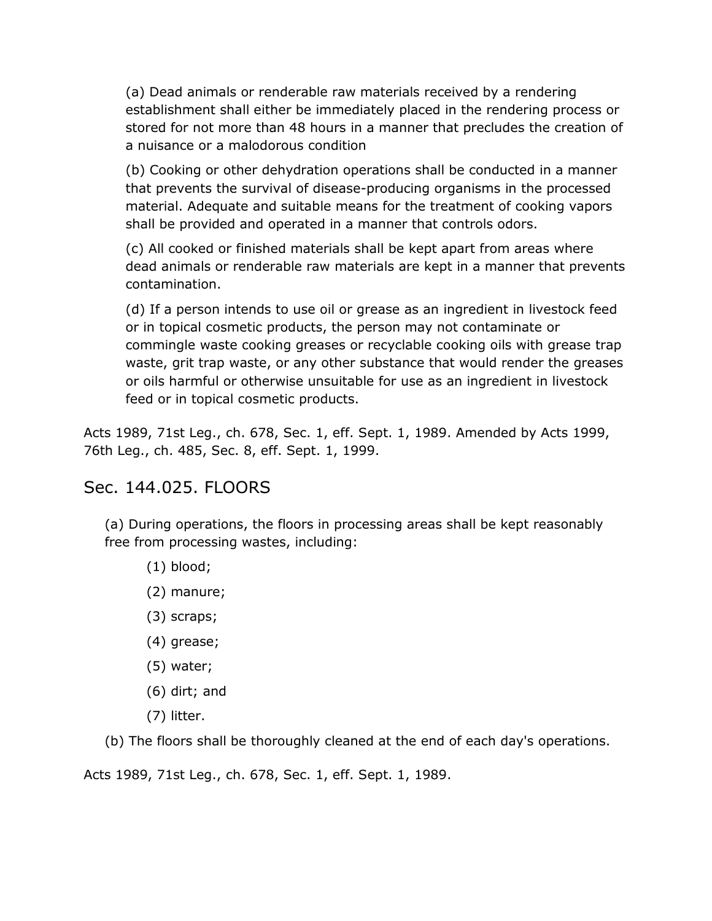(a) Dead animals or renderable raw materials received by a rendering establishment shall either be immediately placed in the rendering process or stored for not more than 48 hours in a manner that precludes the creation of a nuisance or a malodorous condition

(b) Cooking or other dehydration operations shall be conducted in a manner that prevents the survival of disease-producing organisms in the processed material. Adequate and suitable means for the treatment of cooking vapors shall be provided and operated in a manner that controls odors.

(c) All cooked or finished materials shall be kept apart from areas where dead animals or renderable raw materials are kept in a manner that prevents contamination.

(d) If a person intends to use oil or grease as an ingredient in livestock feed or in topical cosmetic products, the person may not contaminate or commingle waste cooking greases or recyclable cooking oils with grease trap waste, grit trap waste, or any other substance that would render the greases or oils harmful or otherwise unsuitable for use as an ingredient in livestock feed or in topical cosmetic products.

Acts 1989, 71st Leg., ch. 678, Sec. 1, eff. Sept. 1, 1989. Amended by Acts 1999, 76th Leg., ch. 485, Sec. 8, eff. Sept. 1, 1999.

# Sec. 144.025. FLOORS

(a) During operations, the floors in processing areas shall be kept reasonably free from processing wastes, including:

- (1) blood;
- (2) manure;
- (3) scraps;
- (4) grease;
- (5) water;
- (6) dirt; and
- (7) litter.

(b) The floors shall be thoroughly cleaned at the end of each day's operations.

Acts 1989, 71st Leg., ch. 678, Sec. 1, eff. Sept. 1, 1989.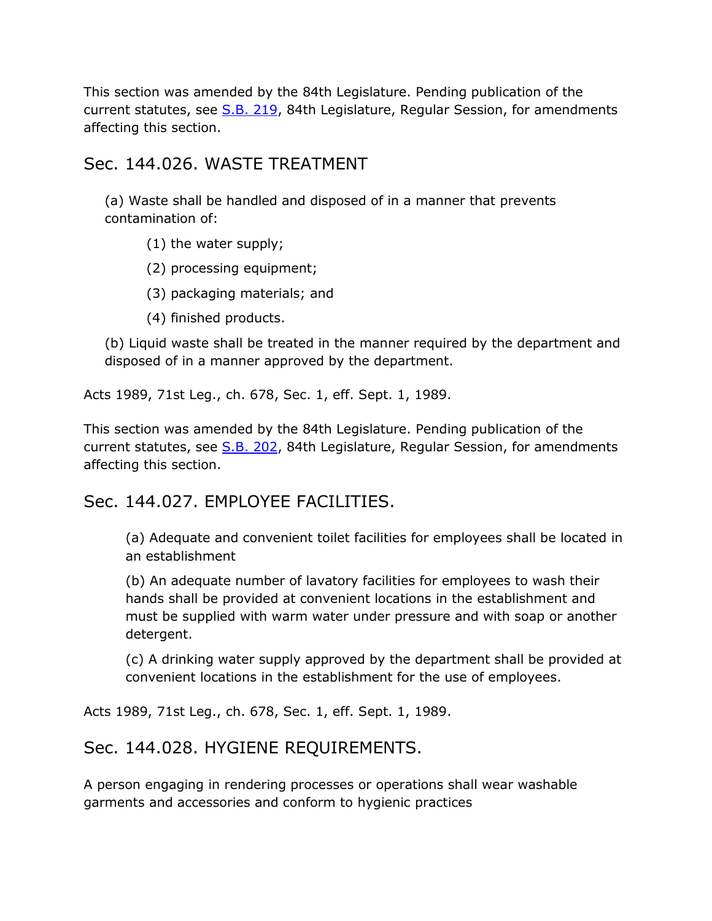This section was amended by the 84th Legislature. Pending publication of the current statutes, see [S.B. 219,](http://www.legis.state.tx.us/tlodocs/84R/billtext/html/SB00219F.HTM) 84th Legislature, Regular Session, for amendments affecting this section.

#### Sec. 144.026. WASTE TREATMENT

(a) Waste shall be handled and disposed of in a manner that prevents contamination of:

(1) the water supply;

(2) processing equipment;

(3) packaging materials; and

(4) finished products.

(b) Liquid waste shall be treated in the manner required by the department and disposed of in a manner approved by the department.

Acts 1989, 71st Leg., ch. 678, Sec. 1, eff. Sept. 1, 1989.

This section was amended by the 84th Legislature. Pending publication of the current statutes, see [S.B. 202,](http://www.legis.state.tx.us/tlodocs/84R/billtext/html/SB00202F.HTM) 84th Legislature, Regular Session, for amendments affecting this section.

# Sec. 144.027. EMPLOYEE FACILITIES.

(a) Adequate and convenient toilet facilities for employees shall be located in an establishment

(b) An adequate number of lavatory facilities for employees to wash their hands shall be provided at convenient locations in the establishment and must be supplied with warm water under pressure and with soap or another detergent.

(c) A drinking water supply approved by the department shall be provided at convenient locations in the establishment for the use of employees.

Acts 1989, 71st Leg., ch. 678, Sec. 1, eff. Sept. 1, 1989.

# Sec. 144.028. HYGIENE REQUIREMENTS.

A person engaging in rendering processes or operations shall wear washable garments and accessories and conform to hygienic practices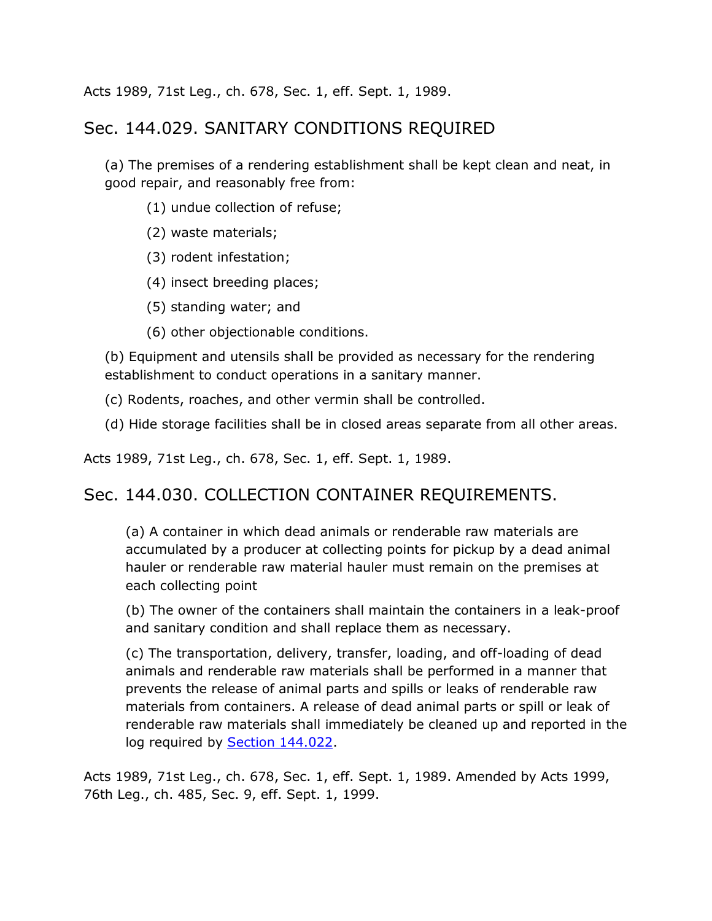Acts 1989, 71st Leg., ch. 678, Sec. 1, eff. Sept. 1, 1989.

#### Sec. 144.029. SANITARY CONDITIONS REQUIRED

(a) The premises of a rendering establishment shall be kept clean and neat, in good repair, and reasonably free from:

- (1) undue collection of refuse;
- (2) waste materials;
- (3) rodent infestation;
- (4) insect breeding places;
- (5) standing water; and
- (6) other objectionable conditions.

(b) Equipment and utensils shall be provided as necessary for the rendering establishment to conduct operations in a sanitary manner.

(c) Rodents, roaches, and other vermin shall be controlled.

(d) Hide storage facilities shall be in closed areas separate from all other areas.

Acts 1989, 71st Leg., ch. 678, Sec. 1, eff. Sept. 1, 1989.

#### Sec. 144.030. COLLECTION CONTAINER REQUIREMENTS.

(a) A container in which dead animals or renderable raw materials are accumulated by a producer at collecting points for pickup by a dead animal hauler or renderable raw material hauler must remain on the premises at each collecting point

(b) The owner of the containers shall maintain the containers in a leak-proof and sanitary condition and shall replace them as necessary.

(c) The transportation, delivery, transfer, loading, and off-loading of dead animals and renderable raw materials shall be performed in a manner that prevents the release of animal parts and spills or leaks of renderable raw materials from containers. A release of dead animal parts or spill or leak of renderable raw materials shall immediately be cleaned up and reported in the log required by [Section 144.022.](http://www.statutes.legis.state.tx.us/GetStatute.aspx?Code=HS&Value=144.022&Date=7/18/2015)

Acts 1989, 71st Leg., ch. 678, Sec. 1, eff. Sept. 1, 1989. Amended by Acts 1999, 76th Leg., ch. 485, Sec. 9, eff. Sept. 1, 1999.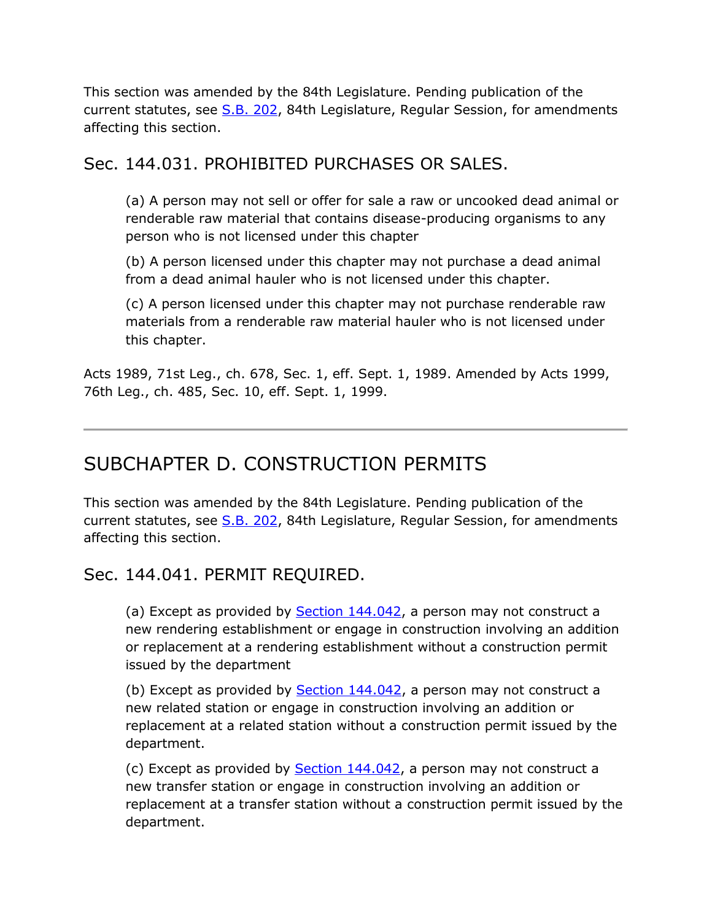This section was amended by the 84th Legislature. Pending publication of the current statutes, see [S.B. 202,](http://www.legis.state.tx.us/tlodocs/84R/billtext/html/SB00202F.HTM) 84th Legislature, Regular Session, for amendments affecting this section.

#### Sec. 144.031. PROHIBITED PURCHASES OR SALES.

(a) A person may not sell or offer for sale a raw or uncooked dead animal or renderable raw material that contains disease-producing organisms to any person who is not licensed under this chapter

(b) A person licensed under this chapter may not purchase a dead animal from a dead animal hauler who is not licensed under this chapter.

(c) A person licensed under this chapter may not purchase renderable raw materials from a renderable raw material hauler who is not licensed under this chapter.

Acts 1989, 71st Leg., ch. 678, Sec. 1, eff. Sept. 1, 1989. Amended by Acts 1999, 76th Leg., ch. 485, Sec. 10, eff. Sept. 1, 1999.

# SUBCHAPTER D. CONSTRUCTION PERMITS

This section was amended by the 84th Legislature. Pending publication of the current statutes, see [S.B. 202,](http://www.legis.state.tx.us/tlodocs/84R/billtext/html/SB00202F.HTM) 84th Legislature, Regular Session, for amendments affecting this section.

# Sec. 144.041. PERMIT REQUIRED.

(a) Except as provided by [Section 144.042,](http://www.statutes.legis.state.tx.us/GetStatute.aspx?Code=HS&Value=144.042&Date=7/18/2015) a person may not construct a new rendering establishment or engage in construction involving an addition or replacement at a rendering establishment without a construction permit issued by the department

(b) Except as provided by **Section 144.042**, a person may not construct a new related station or engage in construction involving an addition or replacement at a related station without a construction permit issued by the department.

(c) Except as provided by [Section 144.042,](http://www.statutes.legis.state.tx.us/GetStatute.aspx?Code=HS&Value=144.042&Date=7/18/2015) a person may not construct a new transfer station or engage in construction involving an addition or replacement at a transfer station without a construction permit issued by the department.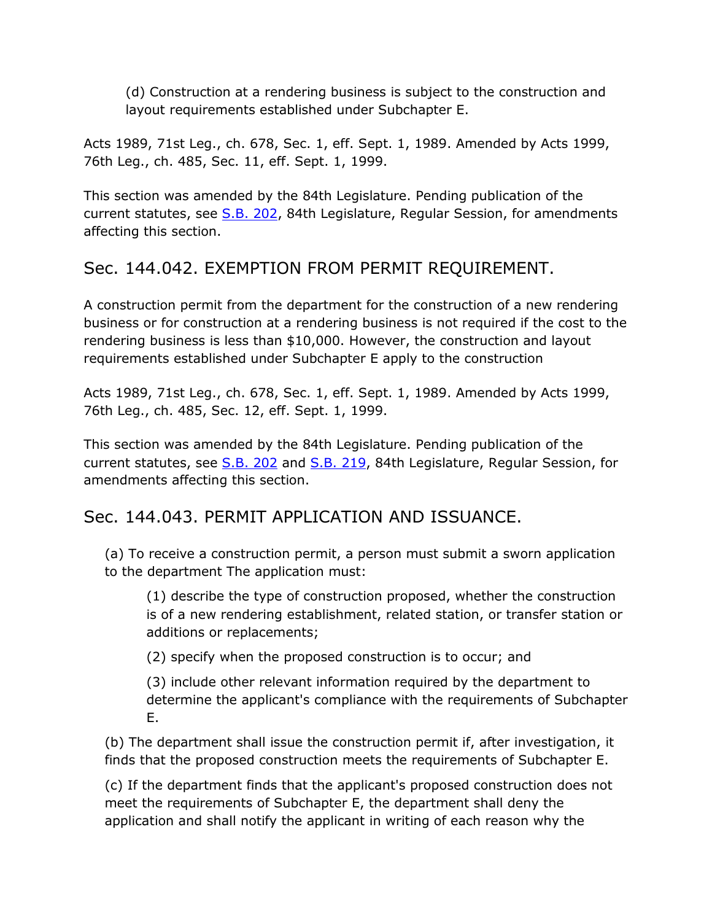(d) Construction at a rendering business is subject to the construction and layout requirements established under Subchapter E.

Acts 1989, 71st Leg., ch. 678, Sec. 1, eff. Sept. 1, 1989. Amended by Acts 1999, 76th Leg., ch. 485, Sec. 11, eff. Sept. 1, 1999.

This section was amended by the 84th Legislature. Pending publication of the current statutes, see [S.B. 202,](http://www.legis.state.tx.us/tlodocs/84R/billtext/html/SB00202F.HTM) 84th Legislature, Regular Session, for amendments affecting this section.

# Sec. 144.042. EXEMPTION FROM PERMIT REQUIREMENT.

A construction permit from the department for the construction of a new rendering business or for construction at a rendering business is not required if the cost to the rendering business is less than \$10,000. However, the construction and layout requirements established under Subchapter E apply to the construction

Acts 1989, 71st Leg., ch. 678, Sec. 1, eff. Sept. 1, 1989. Amended by Acts 1999, 76th Leg., ch. 485, Sec. 12, eff. Sept. 1, 1999.

This section was amended by the 84th Legislature. Pending publication of the current statutes, see [S.B. 202](http://www.legis.state.tx.us/tlodocs/84R/billtext/html/SB00202F.HTM) and [S.B. 219,](http://www.legis.state.tx.us/tlodocs/84R/billtext/html/SB00219F.HTM) 84th Legislature, Regular Session, for amendments affecting this section.

# Sec. 144.043. PERMIT APPLICATION AND ISSUANCE.

(a) To receive a construction permit, a person must submit a sworn application to the department The application must:

(1) describe the type of construction proposed, whether the construction is of a new rendering establishment, related station, or transfer station or additions or replacements;

(2) specify when the proposed construction is to occur; and

(3) include other relevant information required by the department to determine the applicant's compliance with the requirements of Subchapter E.

(b) The department shall issue the construction permit if, after investigation, it finds that the proposed construction meets the requirements of Subchapter E.

(c) If the department finds that the applicant's proposed construction does not meet the requirements of Subchapter E, the department shall deny the application and shall notify the applicant in writing of each reason why the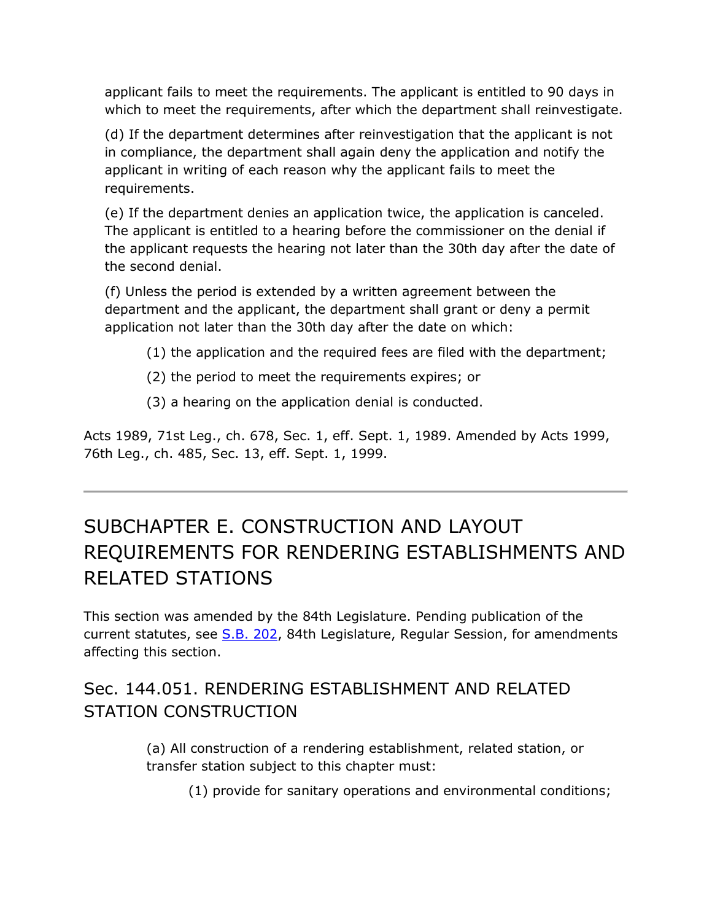applicant fails to meet the requirements. The applicant is entitled to 90 days in which to meet the requirements, after which the department shall reinvestigate.

(d) If the department determines after reinvestigation that the applicant is not in compliance, the department shall again deny the application and notify the applicant in writing of each reason why the applicant fails to meet the requirements.

(e) If the department denies an application twice, the application is canceled. The applicant is entitled to a hearing before the commissioner on the denial if the applicant requests the hearing not later than the 30th day after the date of the second denial.

(f) Unless the period is extended by a written agreement between the department and the applicant, the department shall grant or deny a permit application not later than the 30th day after the date on which:

- (1) the application and the required fees are filed with the department;
- (2) the period to meet the requirements expires; or
- (3) a hearing on the application denial is conducted.

Acts 1989, 71st Leg., ch. 678, Sec. 1, eff. Sept. 1, 1989. Amended by Acts 1999, 76th Leg., ch. 485, Sec. 13, eff. Sept. 1, 1999.

# SUBCHAPTER E. CONSTRUCTION AND LAYOUT REQUIREMENTS FOR RENDERING ESTABLISHMENTS AND RELATED STATIONS

This section was amended by the 84th Legislature. Pending publication of the current statutes, see [S.B. 202,](http://www.legis.state.tx.us/tlodocs/84R/billtext/html/SB00202F.HTM) 84th Legislature, Regular Session, for amendments affecting this section.

# Sec. 144.051. RENDERING ESTABLISHMENT AND RELATED STATION CONSTRUCTION

(a) All construction of a rendering establishment, related station, or transfer station subject to this chapter must:

(1) provide for sanitary operations and environmental conditions;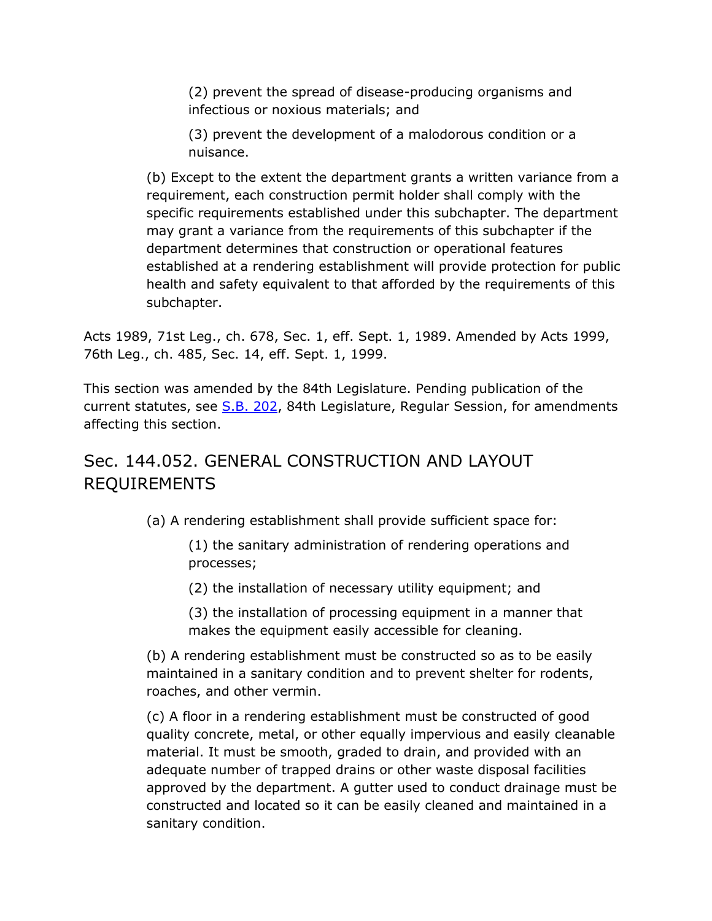(2) prevent the spread of disease-producing organisms and infectious or noxious materials; and

(3) prevent the development of a malodorous condition or a nuisance.

(b) Except to the extent the department grants a written variance from a requirement, each construction permit holder shall comply with the specific requirements established under this subchapter. The department may grant a variance from the requirements of this subchapter if the department determines that construction or operational features established at a rendering establishment will provide protection for public health and safety equivalent to that afforded by the requirements of this subchapter.

Acts 1989, 71st Leg., ch. 678, Sec. 1, eff. Sept. 1, 1989. Amended by Acts 1999, 76th Leg., ch. 485, Sec. 14, eff. Sept. 1, 1999.

This section was amended by the 84th Legislature. Pending publication of the current statutes, see [S.B. 202,](http://www.legis.state.tx.us/tlodocs/84R/billtext/html/SB00202F.HTM) 84th Legislature, Regular Session, for amendments affecting this section.

# Sec. 144.052. GENERAL CONSTRUCTION AND LAYOUT REQUIREMENTS

(a) A rendering establishment shall provide sufficient space for:

(1) the sanitary administration of rendering operations and processes;

(2) the installation of necessary utility equipment; and

(3) the installation of processing equipment in a manner that makes the equipment easily accessible for cleaning.

(b) A rendering establishment must be constructed so as to be easily maintained in a sanitary condition and to prevent shelter for rodents, roaches, and other vermin.

(c) A floor in a rendering establishment must be constructed of good quality concrete, metal, or other equally impervious and easily cleanable material. It must be smooth, graded to drain, and provided with an adequate number of trapped drains or other waste disposal facilities approved by the department. A gutter used to conduct drainage must be constructed and located so it can be easily cleaned and maintained in a sanitary condition.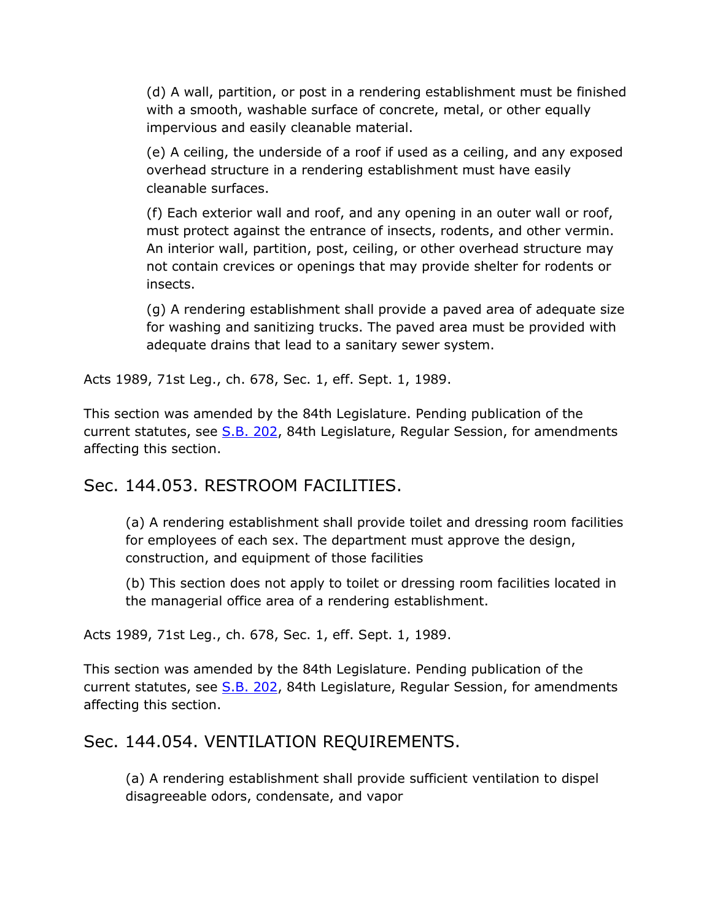(d) A wall, partition, or post in a rendering establishment must be finished with a smooth, washable surface of concrete, metal, or other equally impervious and easily cleanable material.

(e) A ceiling, the underside of a roof if used as a ceiling, and any exposed overhead structure in a rendering establishment must have easily cleanable surfaces.

(f) Each exterior wall and roof, and any opening in an outer wall or roof, must protect against the entrance of insects, rodents, and other vermin. An interior wall, partition, post, ceiling, or other overhead structure may not contain crevices or openings that may provide shelter for rodents or insects.

(g) A rendering establishment shall provide a paved area of adequate size for washing and sanitizing trucks. The paved area must be provided with adequate drains that lead to a sanitary sewer system.

Acts 1989, 71st Leg., ch. 678, Sec. 1, eff. Sept. 1, 1989.

This section was amended by the 84th Legislature. Pending publication of the current statutes, see [S.B. 202,](http://www.legis.state.tx.us/tlodocs/84R/billtext/html/SB00202F.HTM) 84th Legislature, Regular Session, for amendments affecting this section.

#### Sec. 144.053. RESTROOM FACILITIES.

(a) A rendering establishment shall provide toilet and dressing room facilities for employees of each sex. The department must approve the design, construction, and equipment of those facilities

(b) This section does not apply to toilet or dressing room facilities located in the managerial office area of a rendering establishment.

Acts 1989, 71st Leg., ch. 678, Sec. 1, eff. Sept. 1, 1989.

This section was amended by the 84th Legislature. Pending publication of the current statutes, see [S.B. 202,](http://www.legis.state.tx.us/tlodocs/84R/billtext/html/SB00202F.HTM) 84th Legislature, Regular Session, for amendments affecting this section.

#### Sec. 144.054. VENTILATION REQUIREMENTS.

(a) A rendering establishment shall provide sufficient ventilation to dispel disagreeable odors, condensate, and vapor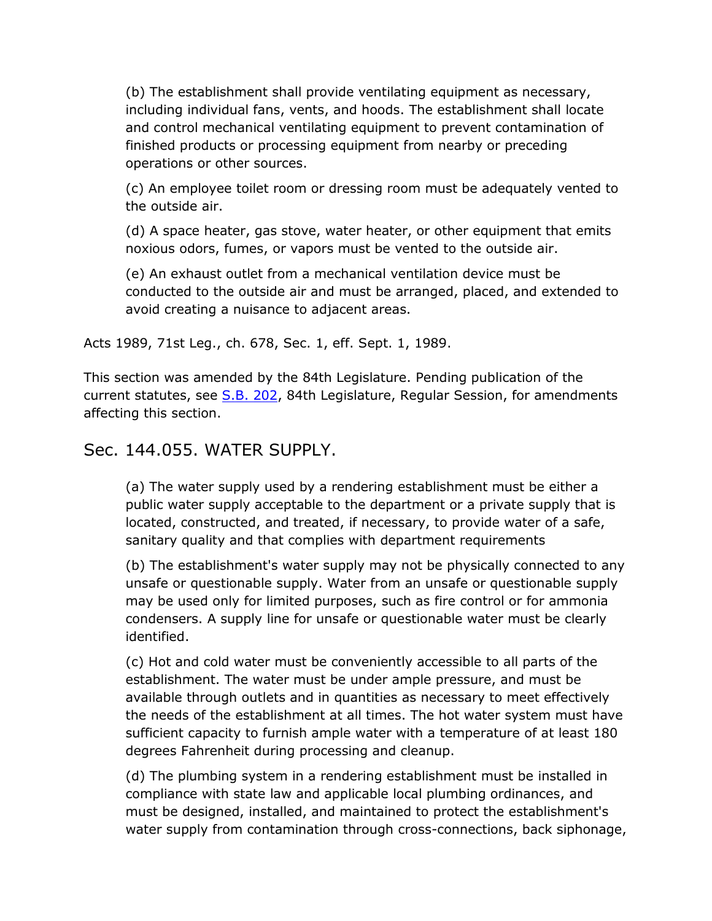(b) The establishment shall provide ventilating equipment as necessary, including individual fans, vents, and hoods. The establishment shall locate and control mechanical ventilating equipment to prevent contamination of finished products or processing equipment from nearby or preceding operations or other sources.

(c) An employee toilet room or dressing room must be adequately vented to the outside air.

(d) A space heater, gas stove, water heater, or other equipment that emits noxious odors, fumes, or vapors must be vented to the outside air.

(e) An exhaust outlet from a mechanical ventilation device must be conducted to the outside air and must be arranged, placed, and extended to avoid creating a nuisance to adjacent areas.

Acts 1989, 71st Leg., ch. 678, Sec. 1, eff. Sept. 1, 1989.

This section was amended by the 84th Legislature. Pending publication of the current statutes, see [S.B. 202,](http://www.legis.state.tx.us/tlodocs/84R/billtext/html/SB00202F.HTM) 84th Legislature, Regular Session, for amendments affecting this section.

#### Sec. 144.055. WATER SUPPLY.

(a) The water supply used by a rendering establishment must be either a public water supply acceptable to the department or a private supply that is located, constructed, and treated, if necessary, to provide water of a safe, sanitary quality and that complies with department requirements

(b) The establishment's water supply may not be physically connected to any unsafe or questionable supply. Water from an unsafe or questionable supply may be used only for limited purposes, such as fire control or for ammonia condensers. A supply line for unsafe or questionable water must be clearly identified.

(c) Hot and cold water must be conveniently accessible to all parts of the establishment. The water must be under ample pressure, and must be available through outlets and in quantities as necessary to meet effectively the needs of the establishment at all times. The hot water system must have sufficient capacity to furnish ample water with a temperature of at least 180 degrees Fahrenheit during processing and cleanup.

(d) The plumbing system in a rendering establishment must be installed in compliance with state law and applicable local plumbing ordinances, and must be designed, installed, and maintained to protect the establishment's water supply from contamination through cross-connections, back siphonage,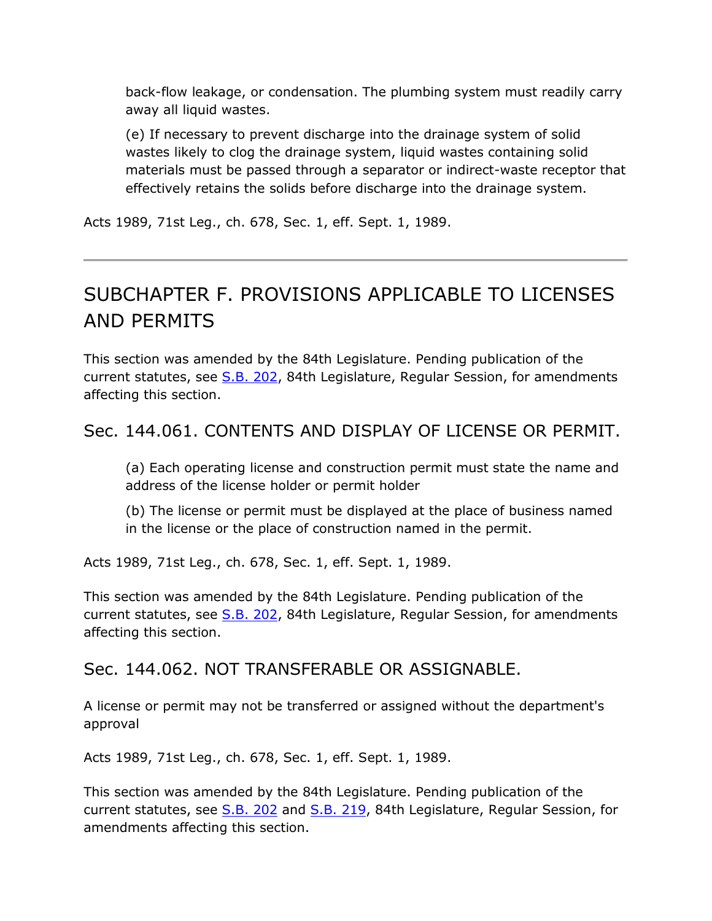back-flow leakage, or condensation. The plumbing system must readily carry away all liquid wastes.

(e) If necessary to prevent discharge into the drainage system of solid wastes likely to clog the drainage system, liquid wastes containing solid materials must be passed through a separator or indirect-waste receptor that effectively retains the solids before discharge into the drainage system.

Acts 1989, 71st Leg., ch. 678, Sec. 1, eff. Sept. 1, 1989.

# SUBCHAPTER F. PROVISIONS APPLICABLE TO LICENSES AND PERMITS

This section was amended by the 84th Legislature. Pending publication of the current statutes, see [S.B. 202,](http://www.legis.state.tx.us/tlodocs/84R/billtext/html/SB00202F.HTM) 84th Legislature, Regular Session, for amendments affecting this section.

# Sec. 144.061. CONTENTS AND DISPLAY OF LICENSE OR PERMIT.

(a) Each operating license and construction permit must state the name and address of the license holder or permit holder

(b) The license or permit must be displayed at the place of business named in the license or the place of construction named in the permit.

Acts 1989, 71st Leg., ch. 678, Sec. 1, eff. Sept. 1, 1989.

This section was amended by the 84th Legislature. Pending publication of the current statutes, see [S.B. 202,](http://www.legis.state.tx.us/tlodocs/84R/billtext/html/SB00202F.HTM) 84th Legislature, Regular Session, for amendments affecting this section.

#### Sec. 144.062. NOT TRANSFERABLE OR ASSIGNABLE.

A license or permit may not be transferred or assigned without the department's approval

Acts 1989, 71st Leg., ch. 678, Sec. 1, eff. Sept. 1, 1989.

This section was amended by the 84th Legislature. Pending publication of the current statutes, see [S.B. 202](http://www.legis.state.tx.us/tlodocs/84R/billtext/html/SB00202F.HTM) and [S.B. 219,](http://www.legis.state.tx.us/tlodocs/84R/billtext/html/SB00219F.HTM) 84th Legislature, Regular Session, for amendments affecting this section.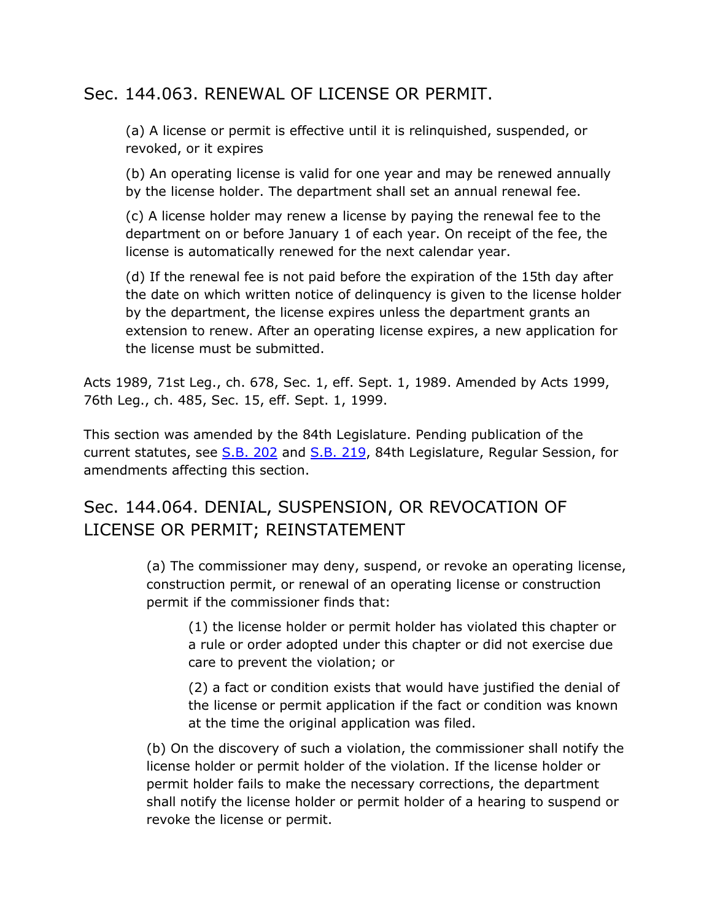# Sec. 144.063. RENEWAL OF LICENSE OR PERMIT.

(a) A license or permit is effective until it is relinquished, suspended, or revoked, or it expires

(b) An operating license is valid for one year and may be renewed annually by the license holder. The department shall set an annual renewal fee.

(c) A license holder may renew a license by paying the renewal fee to the department on or before January 1 of each year. On receipt of the fee, the license is automatically renewed for the next calendar year.

(d) If the renewal fee is not paid before the expiration of the 15th day after the date on which written notice of delinquency is given to the license holder by the department, the license expires unless the department grants an extension to renew. After an operating license expires, a new application for the license must be submitted.

Acts 1989, 71st Leg., ch. 678, Sec. 1, eff. Sept. 1, 1989. Amended by Acts 1999, 76th Leg., ch. 485, Sec. 15, eff. Sept. 1, 1999.

This section was amended by the 84th Legislature. Pending publication of the current statutes, see [S.B. 202](http://www.legis.state.tx.us/tlodocs/84R/billtext/html/SB00202F.HTM) and [S.B. 219,](http://www.legis.state.tx.us/tlodocs/84R/billtext/html/SB00219F.HTM) 84th Legislature, Regular Session, for amendments affecting this section.

# Sec. 144.064. DENIAL, SUSPENSION, OR REVOCATION OF LICENSE OR PERMIT; REINSTATEMENT

(a) The commissioner may deny, suspend, or revoke an operating license, construction permit, or renewal of an operating license or construction permit if the commissioner finds that:

(1) the license holder or permit holder has violated this chapter or a rule or order adopted under this chapter or did not exercise due care to prevent the violation; or

(2) a fact or condition exists that would have justified the denial of the license or permit application if the fact or condition was known at the time the original application was filed.

(b) On the discovery of such a violation, the commissioner shall notify the license holder or permit holder of the violation. If the license holder or permit holder fails to make the necessary corrections, the department shall notify the license holder or permit holder of a hearing to suspend or revoke the license or permit.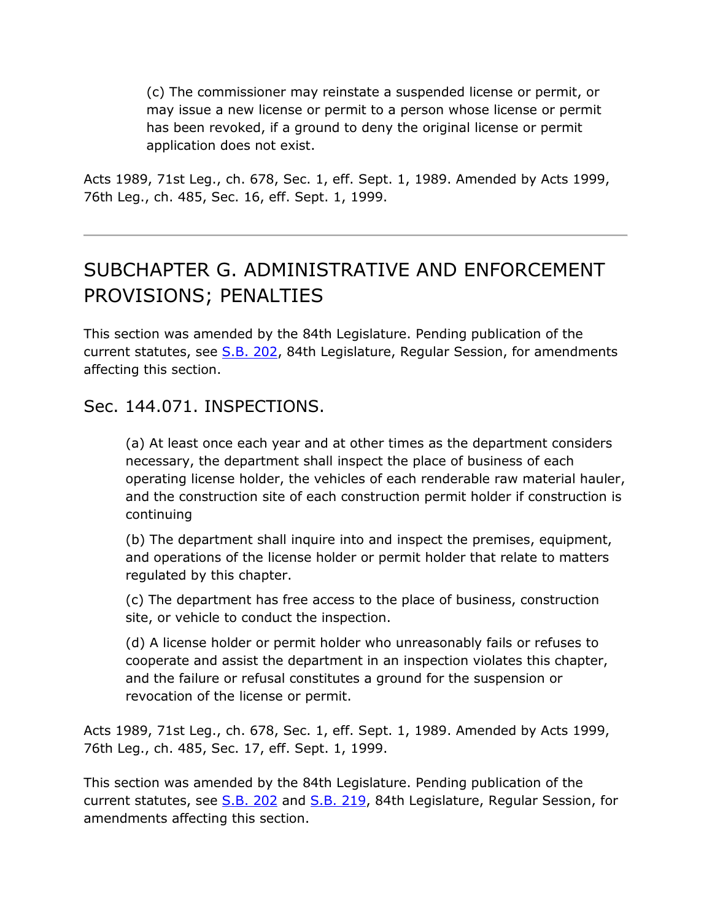(c) The commissioner may reinstate a suspended license or permit, or may issue a new license or permit to a person whose license or permit has been revoked, if a ground to deny the original license or permit application does not exist.

Acts 1989, 71st Leg., ch. 678, Sec. 1, eff. Sept. 1, 1989. Amended by Acts 1999, 76th Leg., ch. 485, Sec. 16, eff. Sept. 1, 1999.

# SUBCHAPTER G. ADMINISTRATIVE AND ENFORCEMENT PROVISIONS; PENALTIES

This section was amended by the 84th Legislature. Pending publication of the current statutes, see [S.B. 202,](http://www.legis.state.tx.us/tlodocs/84R/billtext/html/SB00202F.HTM) 84th Legislature, Regular Session, for amendments affecting this section.

Sec. 144.071. INSPECTIONS.

(a) At least once each year and at other times as the department considers necessary, the department shall inspect the place of business of each operating license holder, the vehicles of each renderable raw material hauler, and the construction site of each construction permit holder if construction is continuing

(b) The department shall inquire into and inspect the premises, equipment, and operations of the license holder or permit holder that relate to matters regulated by this chapter.

(c) The department has free access to the place of business, construction site, or vehicle to conduct the inspection.

(d) A license holder or permit holder who unreasonably fails or refuses to cooperate and assist the department in an inspection violates this chapter, and the failure or refusal constitutes a ground for the suspension or revocation of the license or permit.

Acts 1989, 71st Leg., ch. 678, Sec. 1, eff. Sept. 1, 1989. Amended by Acts 1999, 76th Leg., ch. 485, Sec. 17, eff. Sept. 1, 1999.

This section was amended by the 84th Legislature. Pending publication of the current statutes, see [S.B. 202](http://www.legis.state.tx.us/tlodocs/84R/billtext/html/SB00202F.HTM) and [S.B. 219,](http://www.legis.state.tx.us/tlodocs/84R/billtext/html/SB00219F.HTM) 84th Legislature, Regular Session, for amendments affecting this section.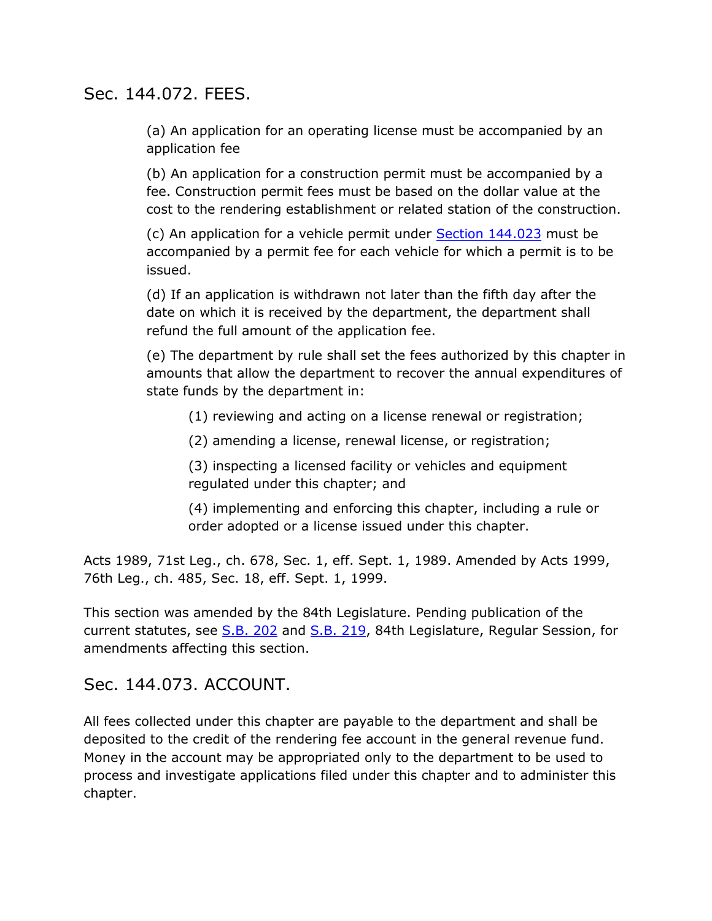#### Sec. 144.072. FEES.

(a) An application for an operating license must be accompanied by an application fee

(b) An application for a construction permit must be accompanied by a fee. Construction permit fees must be based on the dollar value at the cost to the rendering establishment or related station of the construction.

(c) An application for a vehicle permit under [Section 144.023](http://www.statutes.legis.state.tx.us/GetStatute.aspx?Code=HS&Value=144.023&Date=7/18/2015) must be accompanied by a permit fee for each vehicle for which a permit is to be issued.

(d) If an application is withdrawn not later than the fifth day after the date on which it is received by the department, the department shall refund the full amount of the application fee.

(e) The department by rule shall set the fees authorized by this chapter in amounts that allow the department to recover the annual expenditures of state funds by the department in:

(1) reviewing and acting on a license renewal or registration;

(2) amending a license, renewal license, or registration;

(3) inspecting a licensed facility or vehicles and equipment regulated under this chapter; and

(4) implementing and enforcing this chapter, including a rule or order adopted or a license issued under this chapter.

Acts 1989, 71st Leg., ch. 678, Sec. 1, eff. Sept. 1, 1989. Amended by Acts 1999, 76th Leg., ch. 485, Sec. 18, eff. Sept. 1, 1999.

This section was amended by the 84th Legislature. Pending publication of the current statutes, see [S.B. 202](http://www.legis.state.tx.us/tlodocs/84R/billtext/html/SB00202F.HTM) and [S.B. 219,](http://www.legis.state.tx.us/tlodocs/84R/billtext/html/SB00219F.HTM) 84th Legislature, Regular Session, for amendments affecting this section.

#### Sec. 144.073. ACCOUNT.

All fees collected under this chapter are payable to the department and shall be deposited to the credit of the rendering fee account in the general revenue fund. Money in the account may be appropriated only to the department to be used to process and investigate applications filed under this chapter and to administer this chapter.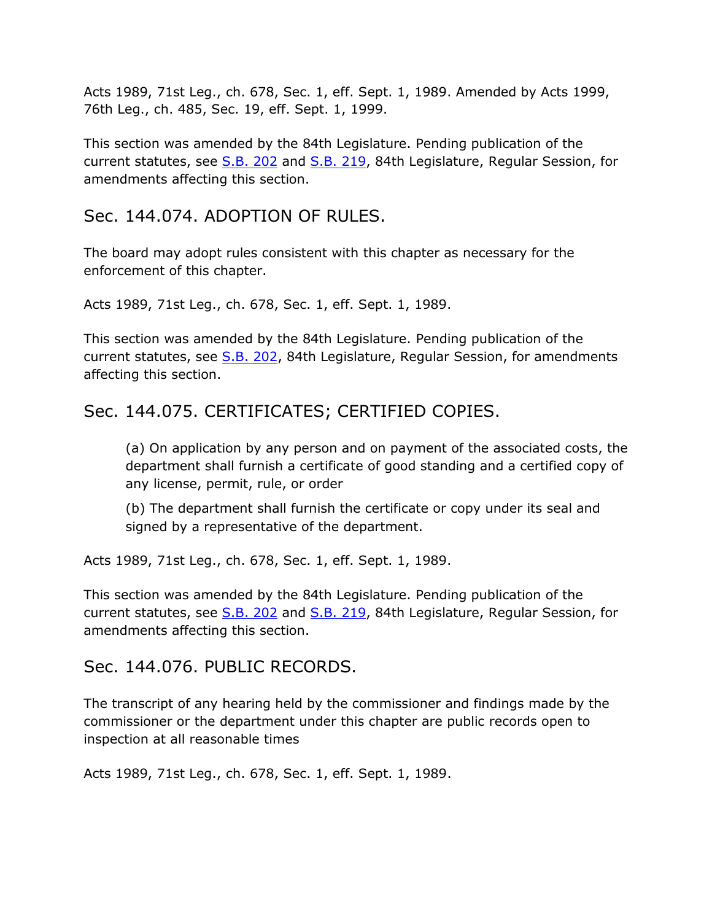Acts 1989, 71st Leg., ch. 678, Sec. 1, eff. Sept. 1, 1989. Amended by Acts 1999, 76th Leg., ch. 485, Sec. 19, eff. Sept. 1, 1999.

This section was amended by the 84th Legislature. Pending publication of the current statutes, see [S.B. 202](http://www.legis.state.tx.us/tlodocs/84R/billtext/html/SB00202F.HTM) and [S.B. 219,](http://www.legis.state.tx.us/tlodocs/84R/billtext/html/SB00219F.HTM) 84th Legislature, Regular Session, for amendments affecting this section.

# Sec. 144.074. ADOPTION OF RULES.

The board may adopt rules consistent with this chapter as necessary for the enforcement of this chapter.

Acts 1989, 71st Leg., ch. 678, Sec. 1, eff. Sept. 1, 1989.

This section was amended by the 84th Legislature. Pending publication of the current statutes, see [S.B. 202,](http://www.legis.state.tx.us/tlodocs/84R/billtext/html/SB00202F.HTM) 84th Legislature, Regular Session, for amendments affecting this section.

# Sec. 144.075. CERTIFICATES; CERTIFIED COPIES.

(a) On application by any person and on payment of the associated costs, the department shall furnish a certificate of good standing and a certified copy of any license, permit, rule, or order

(b) The department shall furnish the certificate or copy under its seal and signed by a representative of the department.

Acts 1989, 71st Leg., ch. 678, Sec. 1, eff. Sept. 1, 1989.

This section was amended by the 84th Legislature. Pending publication of the current statutes, see [S.B. 202](http://www.legis.state.tx.us/tlodocs/84R/billtext/html/SB00202F.HTM) and [S.B. 219,](http://www.legis.state.tx.us/tlodocs/84R/billtext/html/SB00219F.HTM) 84th Legislature, Regular Session, for amendments affecting this section.

# Sec. 144.076. PUBLIC RECORDS.

The transcript of any hearing held by the commissioner and findings made by the commissioner or the department under this chapter are public records open to inspection at all reasonable times

Acts 1989, 71st Leg., ch. 678, Sec. 1, eff. Sept. 1, 1989.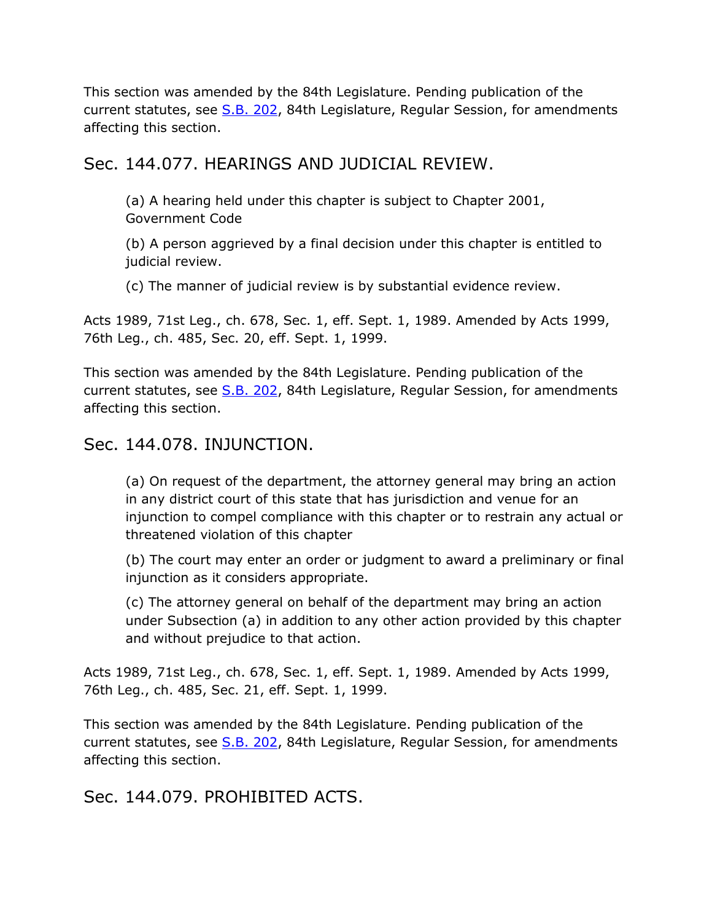This section was amended by the 84th Legislature. Pending publication of the current statutes, see [S.B. 202,](http://www.legis.state.tx.us/tlodocs/84R/billtext/html/SB00202F.HTM) 84th Legislature, Regular Session, for amendments affecting this section.

#### Sec. 144.077. HEARINGS AND JUDICIAL REVIEW.

(a) A hearing held under this chapter is subject to Chapter 2001, Government Code

(b) A person aggrieved by a final decision under this chapter is entitled to judicial review.

(c) The manner of judicial review is by substantial evidence review.

Acts 1989, 71st Leg., ch. 678, Sec. 1, eff. Sept. 1, 1989. Amended by Acts 1999, 76th Leg., ch. 485, Sec. 20, eff. Sept. 1, 1999.

This section was amended by the 84th Legislature. Pending publication of the current statutes, see [S.B. 202,](http://www.legis.state.tx.us/tlodocs/84R/billtext/html/SB00202F.HTM) 84th Legislature, Regular Session, for amendments affecting this section.

#### Sec. 144.078. INJUNCTION.

(a) On request of the department, the attorney general may bring an action in any district court of this state that has jurisdiction and venue for an injunction to compel compliance with this chapter or to restrain any actual or threatened violation of this chapter

(b) The court may enter an order or judgment to award a preliminary or final injunction as it considers appropriate.

(c) The attorney general on behalf of the department may bring an action under Subsection (a) in addition to any other action provided by this chapter and without prejudice to that action.

Acts 1989, 71st Leg., ch. 678, Sec. 1, eff. Sept. 1, 1989. Amended by Acts 1999, 76th Leg., ch. 485, Sec. 21, eff. Sept. 1, 1999.

This section was amended by the 84th Legislature. Pending publication of the current statutes, see [S.B. 202,](http://www.legis.state.tx.us/tlodocs/84R/billtext/html/SB00202F.HTM) 84th Legislature, Regular Session, for amendments affecting this section.

Sec. 144.079. PROHIBITED ACTS.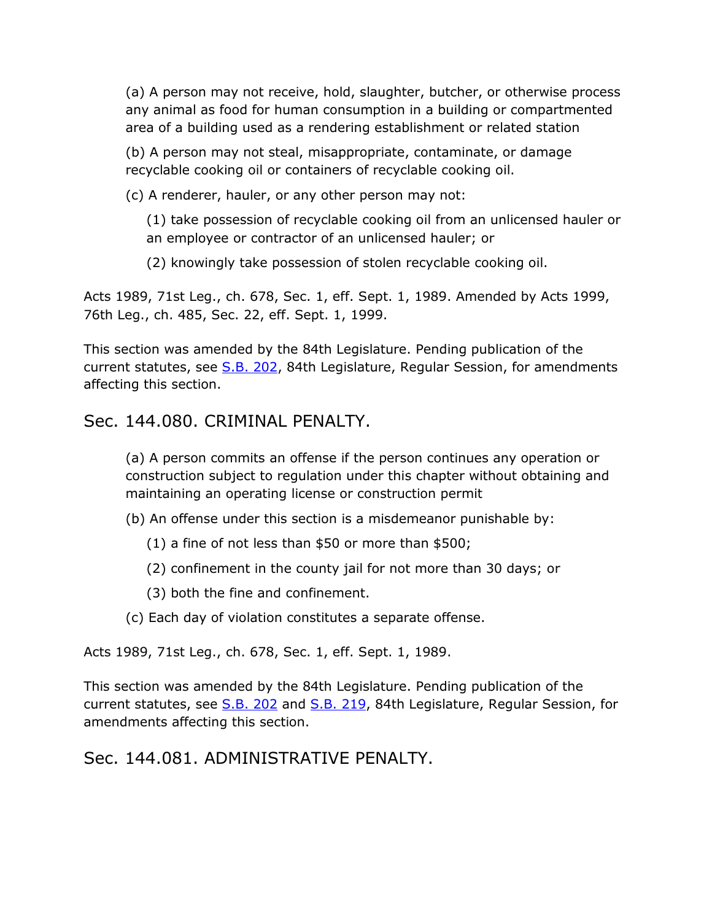(a) A person may not receive, hold, slaughter, butcher, or otherwise process any animal as food for human consumption in a building or compartmented area of a building used as a rendering establishment or related station

(b) A person may not steal, misappropriate, contaminate, or damage recyclable cooking oil or containers of recyclable cooking oil.

(c) A renderer, hauler, or any other person may not:

(1) take possession of recyclable cooking oil from an unlicensed hauler or an employee or contractor of an unlicensed hauler; or

(2) knowingly take possession of stolen recyclable cooking oil.

Acts 1989, 71st Leg., ch. 678, Sec. 1, eff. Sept. 1, 1989. Amended by Acts 1999, 76th Leg., ch. 485, Sec. 22, eff. Sept. 1, 1999.

This section was amended by the 84th Legislature. Pending publication of the current statutes, see [S.B. 202,](http://www.legis.state.tx.us/tlodocs/84R/billtext/html/SB00202F.HTM) 84th Legislature, Regular Session, for amendments affecting this section.

#### Sec. 144.080. CRIMINAL PENALTY.

(a) A person commits an offense if the person continues any operation or construction subject to regulation under this chapter without obtaining and maintaining an operating license or construction permit

(b) An offense under this section is a misdemeanor punishable by:

- (1) a fine of not less than \$50 or more than \$500;
- (2) confinement in the county jail for not more than 30 days; or
- (3) both the fine and confinement.
- (c) Each day of violation constitutes a separate offense.

Acts 1989, 71st Leg., ch. 678, Sec. 1, eff. Sept. 1, 1989.

This section was amended by the 84th Legislature. Pending publication of the current statutes, see [S.B. 202](http://www.legis.state.tx.us/tlodocs/84R/billtext/html/SB00202F.HTM) and [S.B. 219,](http://www.legis.state.tx.us/tlodocs/84R/billtext/html/SB00219F.HTM) 84th Legislature, Regular Session, for amendments affecting this section.

#### Sec. 144.081. ADMINISTRATIVE PENALTY.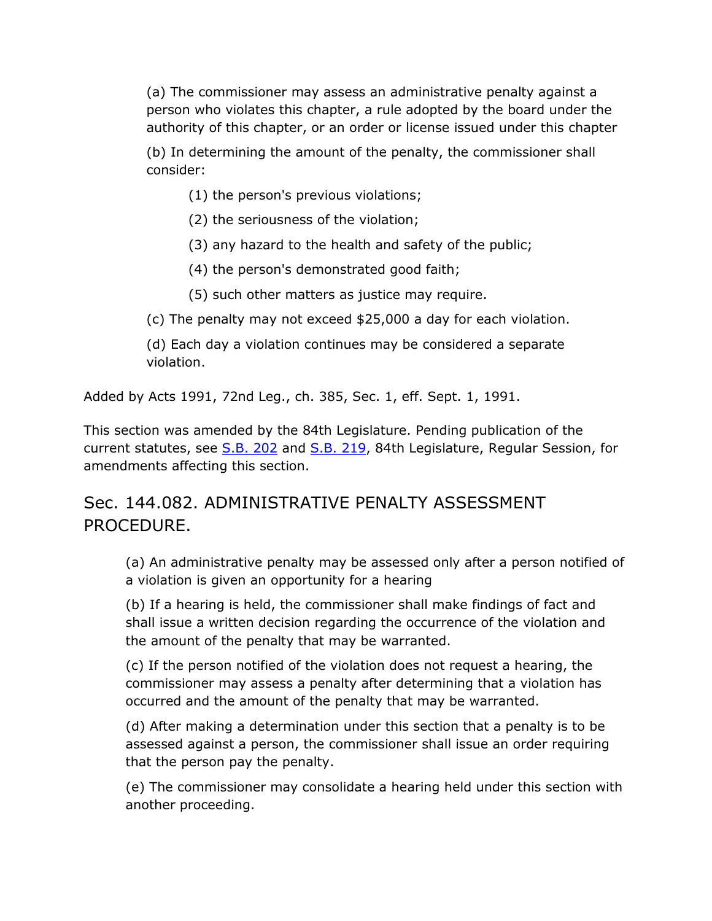(a) The commissioner may assess an administrative penalty against a person who violates this chapter, a rule adopted by the board under the authority of this chapter, or an order or license issued under this chapter

(b) In determining the amount of the penalty, the commissioner shall consider:

- (1) the person's previous violations;
- (2) the seriousness of the violation;
- (3) any hazard to the health and safety of the public;
- (4) the person's demonstrated good faith;
- (5) such other matters as justice may require.
- (c) The penalty may not exceed \$25,000 a day for each violation.

(d) Each day a violation continues may be considered a separate violation.

Added by Acts 1991, 72nd Leg., ch. 385, Sec. 1, eff. Sept. 1, 1991.

This section was amended by the 84th Legislature. Pending publication of the current statutes, see [S.B. 202](http://www.legis.state.tx.us/tlodocs/84R/billtext/html/SB00202F.HTM) and [S.B. 219,](http://www.legis.state.tx.us/tlodocs/84R/billtext/html/SB00219F.HTM) 84th Legislature, Regular Session, for amendments affecting this section.

# Sec. 144.082. ADMINISTRATIVE PENALTY ASSESSMENT PROCEDURE.

(a) An administrative penalty may be assessed only after a person notified of a violation is given an opportunity for a hearing

(b) If a hearing is held, the commissioner shall make findings of fact and shall issue a written decision regarding the occurrence of the violation and the amount of the penalty that may be warranted.

(c) If the person notified of the violation does not request a hearing, the commissioner may assess a penalty after determining that a violation has occurred and the amount of the penalty that may be warranted.

(d) After making a determination under this section that a penalty is to be assessed against a person, the commissioner shall issue an order requiring that the person pay the penalty.

(e) The commissioner may consolidate a hearing held under this section with another proceeding.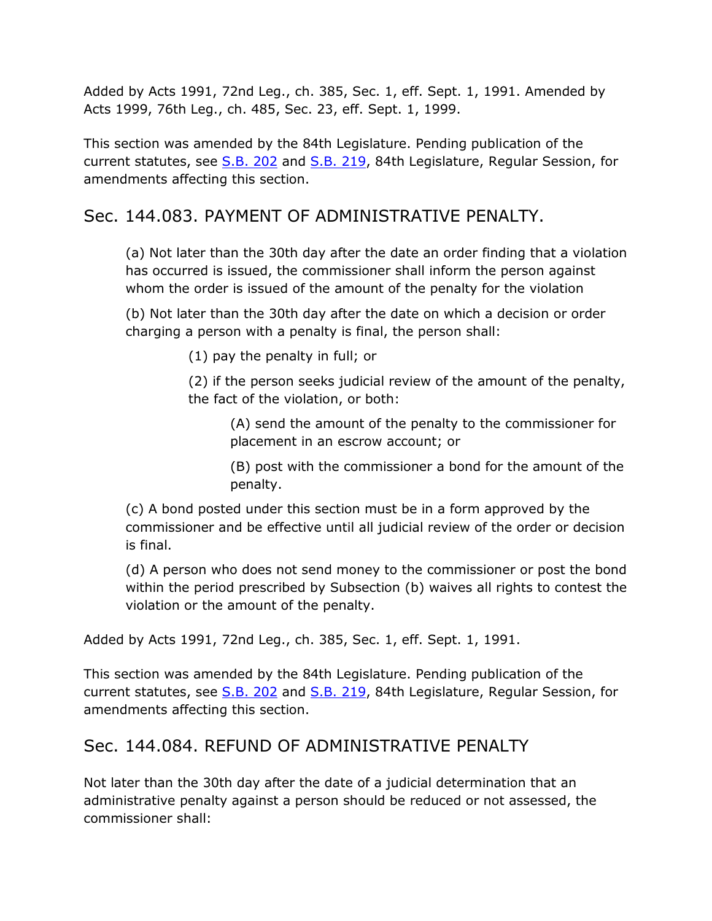Added by Acts 1991, 72nd Leg., ch. 385, Sec. 1, eff. Sept. 1, 1991. Amended by Acts 1999, 76th Leg., ch. 485, Sec. 23, eff. Sept. 1, 1999.

This section was amended by the 84th Legislature. Pending publication of the current statutes, see [S.B. 202](http://www.legis.state.tx.us/tlodocs/84R/billtext/html/SB00202F.HTM) and [S.B. 219,](http://www.legis.state.tx.us/tlodocs/84R/billtext/html/SB00219F.HTM) 84th Legislature, Regular Session, for amendments affecting this section.

# Sec. 144.083. PAYMENT OF ADMINISTRATIVE PENALTY.

(a) Not later than the 30th day after the date an order finding that a violation has occurred is issued, the commissioner shall inform the person against whom the order is issued of the amount of the penalty for the violation

(b) Not later than the 30th day after the date on which a decision or order charging a person with a penalty is final, the person shall:

(1) pay the penalty in full; or

(2) if the person seeks judicial review of the amount of the penalty, the fact of the violation, or both:

(A) send the amount of the penalty to the commissioner for placement in an escrow account; or

(B) post with the commissioner a bond for the amount of the penalty.

(c) A bond posted under this section must be in a form approved by the commissioner and be effective until all judicial review of the order or decision is final.

(d) A person who does not send money to the commissioner or post the bond within the period prescribed by Subsection (b) waives all rights to contest the violation or the amount of the penalty.

Added by Acts 1991, 72nd Leg., ch. 385, Sec. 1, eff. Sept. 1, 1991.

This section was amended by the 84th Legislature. Pending publication of the current statutes, see [S.B. 202](http://www.legis.state.tx.us/tlodocs/84R/billtext/html/SB00202F.HTM) and [S.B. 219,](http://www.legis.state.tx.us/tlodocs/84R/billtext/html/SB00219F.HTM) 84th Legislature, Regular Session, for amendments affecting this section.

# Sec. 144.084. REFUND OF ADMINISTRATIVE PENALTY

Not later than the 30th day after the date of a judicial determination that an administrative penalty against a person should be reduced or not assessed, the commissioner shall: